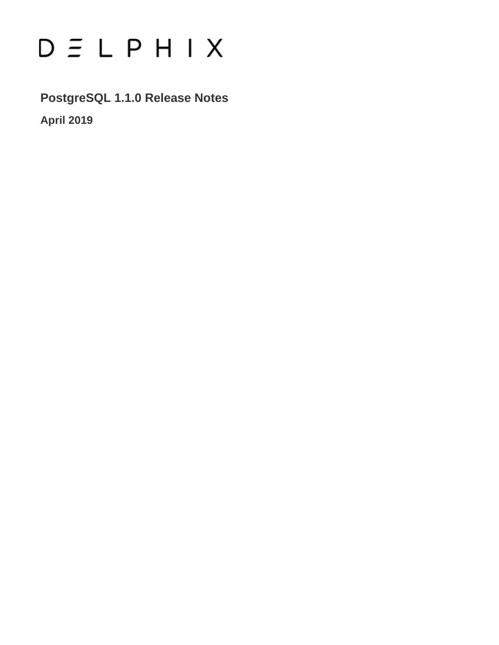# $D \subseteq L$   $P$   $H$   $I$   $X$

**PostgreSQL 1.1.0 Release Notes**

**April 2019**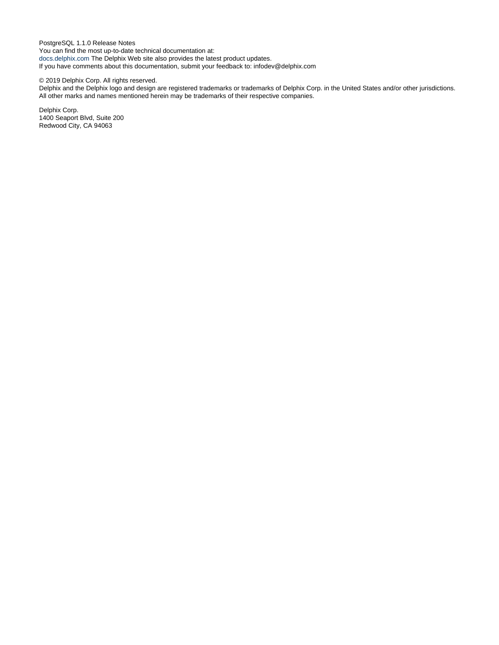PostgreSQL 1.1.0 Release Notes You can find the most up-to-date technical documentation at: [docs.delphix.com](http://docs.delphix.com) The Delphix Web site also provides the latest product updates. If you have comments about this documentation, submit your feedback to: infodev@delphix.com

#### © 2019 Delphix Corp. All rights reserved.

Delphix and the Delphix logo and design are registered trademarks or trademarks of Delphix Corp. in the United States and/or other jurisdictions. All other marks and names mentioned herein may be trademarks of their respective companies.

Delphix Corp. 1400 Seaport Blvd, Suite 200 Redwood City, CA 94063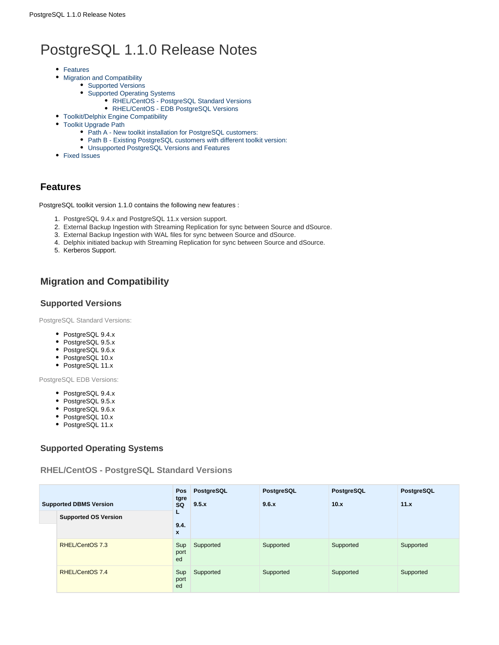# PostgreSQL 1.1.0 Release Notes

- [Features](#page-2-0)
- [Migration and Compatibility](#page-2-1)
	- [Supported Versions](#page-2-2)
		- [Supported Operating Systems](#page-2-3)
			- [RHEL/CentOS PostgreSQL Standard Versions](#page-2-4)
			- [RHEL/CentOS EDB PostgreSQL Versions](#page-3-0)
- [Toolkit/Delphix Engine Compatibility](#page-3-1)
- [Toolkit Upgrade Path](#page-3-2)
	- [Path A New toolkit installation for PostgreSQL customers:](#page-3-3)
	- [Path B Existing PostgreSQL customers with different toolkit version:](#page-3-4)
	- [Unsupported PostgreSQL Versions and Features](#page-3-5)
- [Fixed Issues](#page-4-0)

# <span id="page-2-0"></span>**Features**

PostgreSQL toolkit version 1.1.0 contains the following new features :

- 1. PostgreSQL 9.4.x and PostgreSQL 11.x version support.
- 2. External Backup Ingestion with Streaming Replication for sync between Source and dSource.
- 3. External Backup Ingestion with WAL files for sync between Source and dSource.
- 4. Delphix initiated backup with Streaming Replication for sync between Source and dSource.
- 5. Kerberos Support.

# <span id="page-2-1"></span>**Migration and Compatibility**

## <span id="page-2-2"></span>**Supported Versions**

PostgreSQL Standard Versions:

- PostgreSQL 9.4.x
- PostgreSQL 9.5.x
- PostgreSQL 9.6.x
- PostgreSQL 10.x
- PostgreSQL 11.x

PostgreSQL EDB Versions:

- PostgreSQL 9.4.x
- PostgreSQL 9.5.x
- PostgreSQL 9.6.x
- PostgreSQL 10.x
- PostgreSQL 11.x

# <span id="page-2-3"></span>**Supported Operating Systems**

<span id="page-2-4"></span>**RHEL/CentOS - PostgreSQL Standard Versions**

| <b>Supported DBMS Version</b> |                             | <b>Pos</b><br>tgre<br>SQ | PostgreSQL<br>9.5.x | PostgreSQL<br>9.6.x | PostgreSQL<br>10.x | PostgreSQL<br>11.x |
|-------------------------------|-----------------------------|--------------------------|---------------------|---------------------|--------------------|--------------------|
|                               | <b>Supported OS Version</b> | L                        |                     |                     |                    |                    |
|                               |                             | 9.4.<br>$\mathbf{x}$     |                     |                     |                    |                    |
|                               | RHEL/CentOS 7.3             | Sup<br>port<br>ed        | Supported           | Supported           | Supported          | Supported          |
|                               | RHEL/CentOS 7.4             | Sup<br>port<br>ed        | Supported           | Supported           | Supported          | Supported          |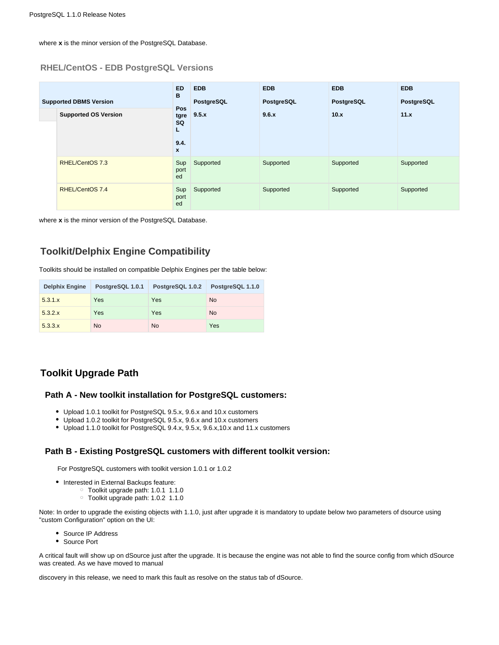where **x** is the minor version of the PostgreSQL Database.

#### <span id="page-3-0"></span>**RHEL/CentOS - EDB PostgreSQL Versions**

| <b>Supported DBMS Version</b> |                             | <b>ED</b><br>в                                            | <b>EDB</b><br>PostgreSQL | <b>EDB</b><br>PostgreSQL | <b>EDB</b><br>PostgreSQL | <b>EDB</b><br>PostgreSQL |
|-------------------------------|-----------------------------|-----------------------------------------------------------|--------------------------|--------------------------|--------------------------|--------------------------|
|                               | <b>Supported OS Version</b> | <b>Pos</b><br>tgre<br>SQ<br>L<br>9.4.<br>$\boldsymbol{x}$ | 9.5.x                    | 9.6.x                    | 10.x                     | 11.x                     |
|                               | RHEL/CentOS 7.3             | Sup<br>port<br>ed                                         | Supported                | Supported                | Supported                | Supported                |
|                               | RHEL/CentOS 7.4             | Sup<br>port<br>ed                                         | Supported                | Supported                | Supported                | Supported                |

where **x** is the minor version of the PostgreSQL Database.

# <span id="page-3-1"></span>**Toolkit/Delphix Engine Compatibility**

Toolkits should be installed on compatible Delphix Engines per the table below:

| <b>Delphix Engine</b> | PostgreSQL 1.0.1 | PostgreSQL 1.0.2 | PostgreSQL 1.1.0 |
|-----------------------|------------------|------------------|------------------|
| 5.3.1.x               | Yes              | Yes              | <b>No</b>        |
| 5.3.2.x               | Yes              | Yes              | <b>No</b>        |
| 5.3.3.x               | <b>No</b>        | <b>No</b>        | Yes              |

# <span id="page-3-2"></span>**Toolkit Upgrade Path**

#### <span id="page-3-3"></span>**Path A - New toolkit installation for PostgreSQL customers:**

- Upload 1.0.1 toolkit for PostgreSQL 9.5.x, 9.6.x and 10.x customers
- Upload 1.0.2 toolkit for PostgreSQL 9.5.x, 9.6.x and 10.x customers
- Upload 1.1.0 toolkit for PostgreSQL 9.4.x, 9.5.x, 9.6.x,10.x and 11.x customers

#### <span id="page-3-4"></span>**Path B - Existing PostgreSQL customers with different toolkit version:**

For PostgreSQL customers with toolkit version 1.0.1 or 1.0.2

- Interested in External Backups feature:
	- Toolkit upgrade path: 1.0.1 1.1.0
	- Toolkit upgrade path: 1.0.2 1.1.0

Note: In order to upgrade the existing objects with 1.1.0, just after upgrade it is mandatory to update below two parameters of dsource using "custom Configuration" option on the UI:

- Source IP Address
- Source Port

A critical fault will show up on dSource just after the upgrade. It is because the engine was not able to find the source config from which dSource was created. As we have moved to manual

<span id="page-3-5"></span>discovery in this release, we need to mark this fault as resolve on the status tab of dSource.